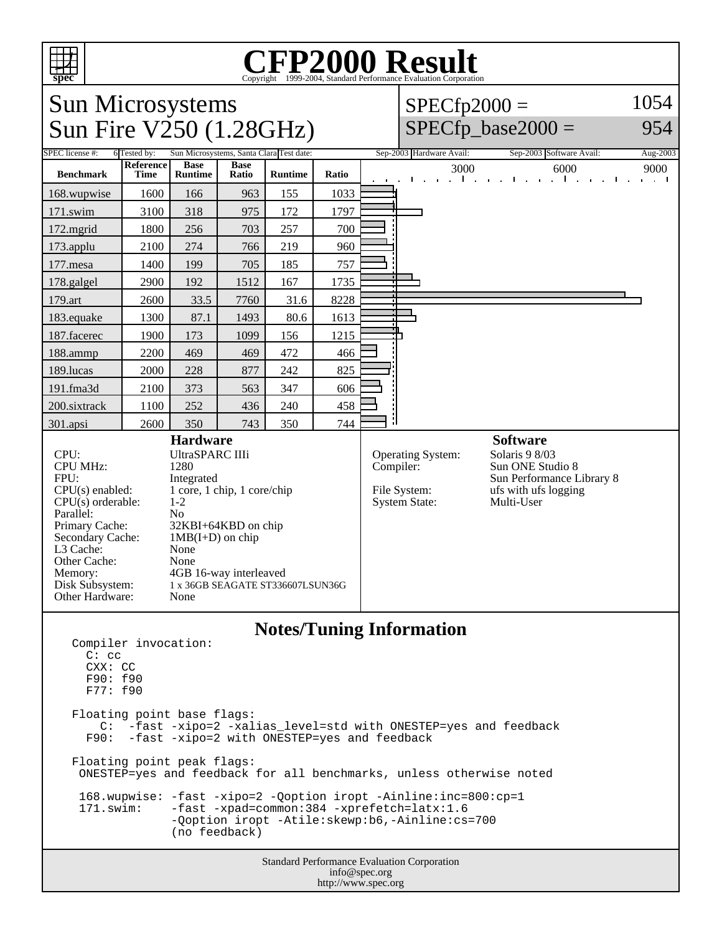

## Copyright ©1999-2004, Standard Performance Evaluation Corporation

Sun Microsystems Sun Fire V250 (1.28GHz)

 $SPECfp2000 =$  $SPECfp\_base2000 =$ 1054 954

| SPEC license #:                                                                                                                                                                                                                                                                                                                                                                                                                                                              | Sun Microsystems, Santa Clara Test date:<br>6 Tested by: |                               |                      |                |       |  | Sep-2003 Hardware Avail:<br>Sep-2003 Software Avail:<br>Aug-2003              |                        |   |                                                                                                                          |      |
|------------------------------------------------------------------------------------------------------------------------------------------------------------------------------------------------------------------------------------------------------------------------------------------------------------------------------------------------------------------------------------------------------------------------------------------------------------------------------|----------------------------------------------------------|-------------------------------|----------------------|----------------|-------|--|-------------------------------------------------------------------------------|------------------------|---|--------------------------------------------------------------------------------------------------------------------------|------|
| <b>Benchmark</b>                                                                                                                                                                                                                                                                                                                                                                                                                                                             | Reference<br><b>Time</b>                                 | <b>Base</b><br><b>Runtime</b> | <b>Base</b><br>Ratio | <b>Runtime</b> | Ratio |  |                                                                               | 3000<br>$\sim$ 10 $\,$ | . | 6000<br>the control of the control of the control of                                                                     | 9000 |
| 168.wupwise                                                                                                                                                                                                                                                                                                                                                                                                                                                                  | 1600                                                     | 166                           | 963                  | 155            | 1033  |  |                                                                               |                        |   |                                                                                                                          |      |
| 171.swim                                                                                                                                                                                                                                                                                                                                                                                                                                                                     | 3100                                                     | 318                           | 975                  | 172            | 1797  |  |                                                                               |                        |   |                                                                                                                          |      |
| $172$ .mgrid                                                                                                                                                                                                                                                                                                                                                                                                                                                                 | 1800                                                     | 256                           | 703                  | 257            | 700   |  |                                                                               |                        |   |                                                                                                                          |      |
| 173.applu                                                                                                                                                                                                                                                                                                                                                                                                                                                                    | 2100                                                     | 274                           | 766                  | 219            | 960   |  |                                                                               |                        |   |                                                                                                                          |      |
| $177$ .mesa                                                                                                                                                                                                                                                                                                                                                                                                                                                                  | 1400                                                     | 199                           | 705                  | 185            | 757   |  |                                                                               |                        |   |                                                                                                                          |      |
| 178.galgel                                                                                                                                                                                                                                                                                                                                                                                                                                                                   | 2900                                                     | 192                           | 1512                 | 167            | 1735  |  |                                                                               |                        |   |                                                                                                                          |      |
| 179.art                                                                                                                                                                                                                                                                                                                                                                                                                                                                      | 2600                                                     | 33.5                          | 7760                 | 31.6           | 8228  |  |                                                                               |                        |   |                                                                                                                          |      |
| 183.equake                                                                                                                                                                                                                                                                                                                                                                                                                                                                   | 1300                                                     | 87.1                          | 1493                 | 80.6           | 1613  |  |                                                                               |                        |   |                                                                                                                          |      |
| 187.facerec                                                                                                                                                                                                                                                                                                                                                                                                                                                                  | 1900                                                     | 173                           | 1099                 | 156            | 1215  |  |                                                                               |                        |   |                                                                                                                          |      |
| 188.ammp                                                                                                                                                                                                                                                                                                                                                                                                                                                                     | 2200                                                     | 469                           | 469                  | 472            | 466   |  |                                                                               |                        |   |                                                                                                                          |      |
| 189.lucas                                                                                                                                                                                                                                                                                                                                                                                                                                                                    | 2000                                                     | 228                           | 877                  | 242            | 825   |  |                                                                               |                        |   |                                                                                                                          |      |
| $191$ .fma $3d$                                                                                                                                                                                                                                                                                                                                                                                                                                                              | 2100                                                     | 373                           | 563                  | 347            | 606   |  |                                                                               |                        |   |                                                                                                                          |      |
| 200.sixtrack                                                                                                                                                                                                                                                                                                                                                                                                                                                                 | 1100                                                     | 252                           | 436                  | 240            | 458   |  |                                                                               |                        |   |                                                                                                                          |      |
| 301.apsi                                                                                                                                                                                                                                                                                                                                                                                                                                                                     | 2600                                                     | 350                           | 743                  | 350            | 744   |  |                                                                               |                        |   |                                                                                                                          |      |
| <b>Hardware</b><br><b>UltraSPARC IIIi</b><br>CPU:<br><b>CPU MHz:</b><br>1280<br>FPU:<br>Integrated<br>1 core, 1 chip, 1 core/chip<br>$CPU(s)$ enabled:<br>$CPU(s)$ orderable:<br>$1-2$<br>Parallel:<br>N <sub>0</sub><br>Primary Cache:<br>32KBI+64KBD on chip<br>Secondary Cache:<br>$1MB(I+D)$ on chip<br>L3 Cache:<br>None<br>Other Cache:<br>None<br>4GB 16-way interleaved<br>Memory:<br>Disk Subsystem:<br>1 x 36GB SEAGATE ST336607LSUN36G<br>None<br>Other Hardware: |                                                          |                               |                      |                |       |  | <b>Operating System:</b><br>Compiler:<br>File System:<br><b>System State:</b> |                        |   | <b>Software</b><br>Solaris 9 8/03<br>Sun ONE Studio 8<br>Sun Performance Library 8<br>ufs with ufs logging<br>Multi-User |      |
|                                                                                                                                                                                                                                                                                                                                                                                                                                                                              |                                                          |                               |                      |                |       |  |                                                                               |                        |   |                                                                                                                          |      |

## **Notes/Tuning Information**

```
Standard Performance Evaluation Corporation
Compiler invocation: 
   C: cc
   CXX: CC
   F90: f90
   F77: f90
Floating point base flags:
    C: -fast -xipo=2 -xalias_level=std with ONESTEP=yes and feedback
   F90: -fast -xipo=2 with ONESTEP=yes and feedback
Floating point peak flags:
  ONESTEP=yes and feedback for all benchmarks, unless otherwise noted
 168.wupwise: -fast -xipo=2 -Qoption iropt -Ainline:inc=800:cp=1<br>171.swim: -fast -xpad=common:384 -xprefetch=latx:1.6
                -fast -xpad=common:384 -xprefetch=latx:1.6
                 -Qoption iropt -Atile:skewp:b6,-Ainline:cs=700 
                 (no feedback)
```
info@spec.org http://www.spec.org